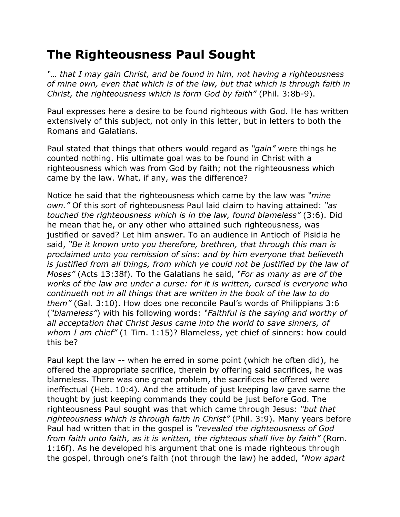## **The Righteousness Paul Sought**

*"… that I may gain Christ, and be found in him, not having a righteousness of mine own, even that which is of the law, but that which is through faith in Christ, the righteousness which is form God by faith"* (Phil. 3:8b-9).

Paul expresses here a desire to be found righteous with God. He has written extensively of this subject, not only in this letter, but in letters to both the Romans and Galatians.

Paul stated that things that others would regard as *"gain"* were things he counted nothing. His ultimate goal was to be found in Christ with a righteousness which was from God by faith; not the righteousness which came by the law. What, if any, was the difference?

Notice he said that the righteousness which came by the law was *"mine own."* Of this sort of righteousness Paul laid claim to having attained: *"as touched the righteousness which is in the law, found blameless"* (3:6). Did he mean that he, or any other who attained such righteousness, was justified or saved? Let him answer. To an audience in Antioch of Pisidia he said, *"Be it known unto you therefore, brethren, that through this man is proclaimed unto you remission of sins: and by him everyone that believeth is justified from all things, from which ye could not be justified by the law of Moses"* (Acts 13:38f). To the Galatians he said, *"For as many as are of the works of the law are under a curse: for it is written, cursed is everyone who continueth not in all things that are written in the book of the law to do them"* (Gal. 3:10). How does one reconcile Paul's words of Philippians 3:6 (*"blameless"*) with his following words: *"Faithful is the saying and worthy of all acceptation that Christ Jesus came into the world to save sinners, of whom I am chief"* (1 Tim. 1:15)? Blameless, yet chief of sinners: how could this be?

Paul kept the law -- when he erred in some point (which he often did), he offered the appropriate sacrifice, therein by offering said sacrifices, he was blameless. There was one great problem, the sacrifices he offered were ineffectual (Heb. 10:4). And the attitude of just keeping law gave same the thought by just keeping commands they could be just before God. The righteousness Paul sought was that which came through Jesus: *"but that righteousness which is through faith in Christ"* (Phil. 3:9). Many years before Paul had written that in the gospel is *"revealed the righteousness of God from faith unto faith, as it is written, the righteous shall live by faith"* (Rom. 1:16f). As he developed his argument that one is made righteous through the gospel, through one's faith (not through the law) he added, *"Now apart*